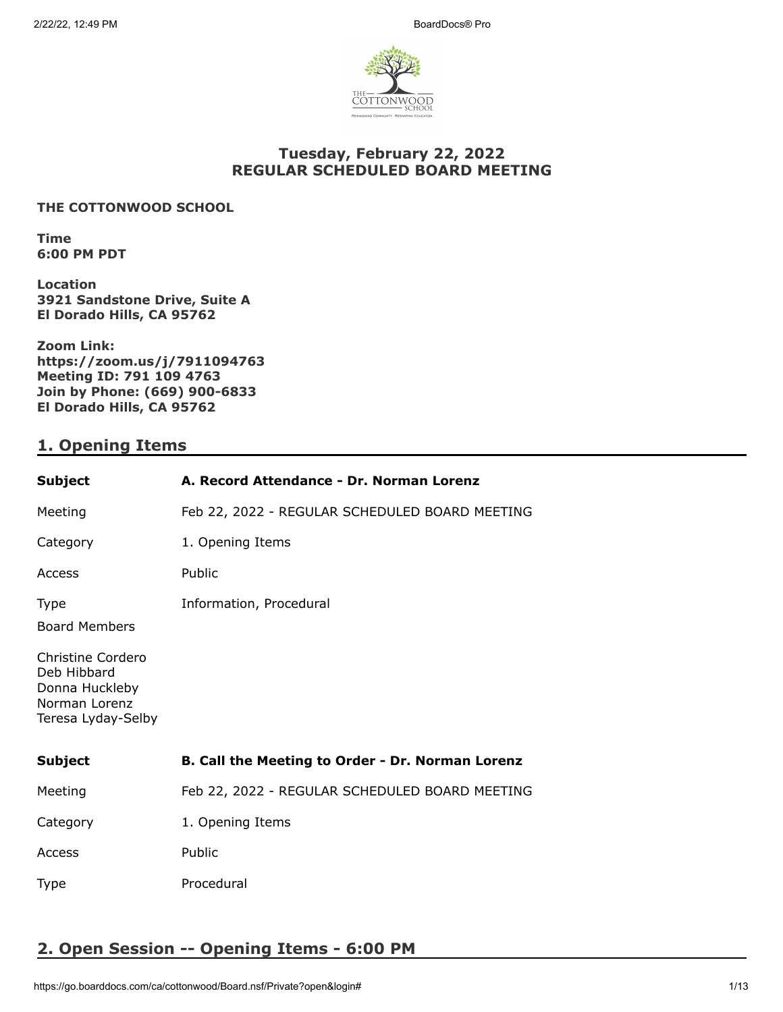

## **Tuesday, February 22, 2022 REGULAR SCHEDULED BOARD MEETING**

### **THE COTTONWOOD SCHOOL**

**Time 6:00 PM PDT**

**Location 3921 Sandstone Drive, Suite A El Dorado Hills, CA 95762**

**Zoom Link: https://zoom.us/j/7911094763 Meeting ID: 791 109 4763 Join by Phone: (669) 900-6833 El Dorado Hills, CA 95762**

## **1. Opening Items**

| <b>Subject</b>                                                                            | A. Record Attendance - Dr. Norman Lorenz         |
|-------------------------------------------------------------------------------------------|--------------------------------------------------|
| Meeting                                                                                   | Feb 22, 2022 - REGULAR SCHEDULED BOARD MEETING   |
| Category                                                                                  | 1. Opening Items                                 |
| Access                                                                                    | Public                                           |
| <b>Type</b><br><b>Board Members</b>                                                       | Information, Procedural                          |
| Christine Cordero<br>Deb Hibbard<br>Donna Huckleby<br>Norman Lorenz<br>Teresa Lyday-Selby |                                                  |
| <b>Subject</b>                                                                            | B. Call the Meeting to Order - Dr. Norman Lorenz |
| Meeting                                                                                   | Feb 22, 2022 - REGULAR SCHEDULED BOARD MEETING   |
| Category                                                                                  | 1. Opening Items                                 |
| Access                                                                                    | Public                                           |
| Type                                                                                      | Procedural                                       |

# **2. Open Session -- Opening Items - 6:00 PM**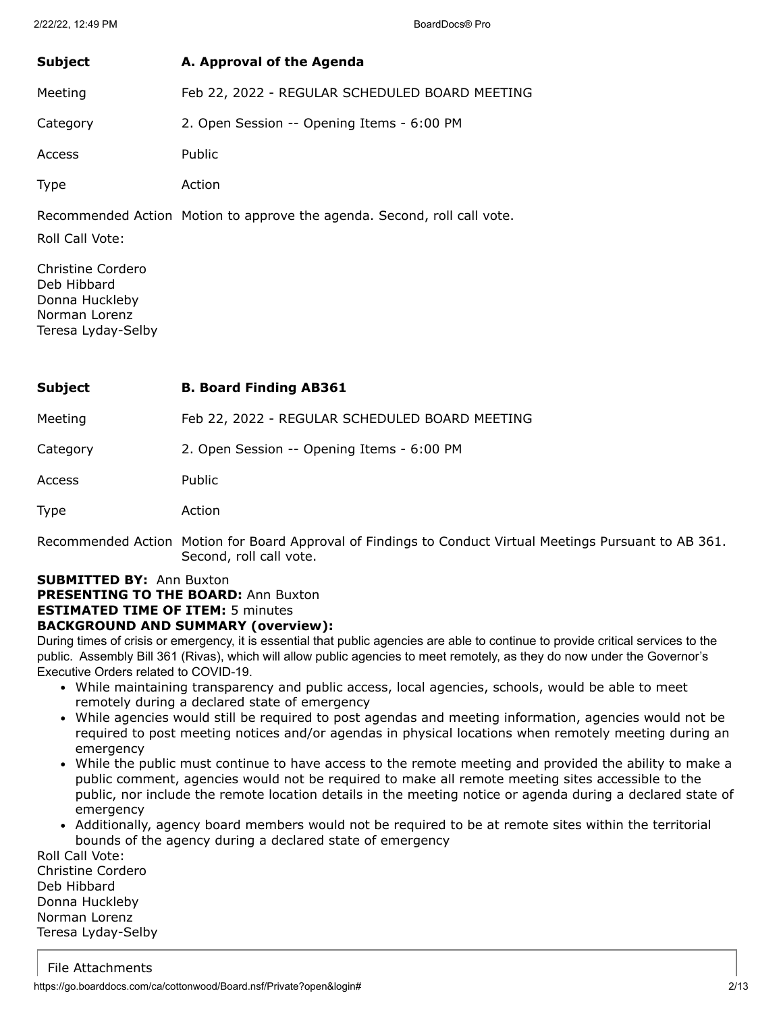| <b>Subject</b> | A. Approval of the Agenda                      |
|----------------|------------------------------------------------|
| Meeting        | Feb 22, 2022 - REGULAR SCHEDULED BOARD MEETING |
| Category       | 2. Open Session -- Opening Items - 6:00 PM     |
| Access         | Public                                         |
| <b>Type</b>    | Action                                         |

Recommended Action Motion to approve the agenda. Second, roll call vote.

Roll Call Vote:

Christine Cordero Deb Hibbard Donna Huckleby Norman Lorenz Teresa Lyday-Selby

| Subject | <b>B. Board Finding AB361</b> |
|---------|-------------------------------|
|---------|-------------------------------|

Meeting Feb 22, 2022 - REGULAR SCHEDULED BOARD MEETING

Category 2. Open Session -- Opening Items - 6:00 PM

Access Public

Type Action

Recommended Action Motion for Board Approval of Findings to Conduct Virtual Meetings Pursuant to AB 361. Second, roll call vote.

# **SUBMITTED BY:** Ann Buxton

**PRESENTING TO THE BOARD:** Ann Buxton

## **ESTIMATED TIME OF ITEM:** 5 minutes

### **BACKGROUND AND SUMMARY (overview):**

During times of crisis or emergency, it is essential that public agencies are able to continue to provide critical services to the public. Assembly Bill 361 (Rivas), which will allow public agencies to meet remotely, as they do now under the Governor's Executive Orders related to COVID-19.

- While maintaining transparency and public access, local agencies, schools, would be able to meet remotely during a declared state of emergency
- While agencies would still be required to post agendas and meeting information, agencies would not be required to post meeting notices and/or agendas in physical locations when remotely meeting during an emergency
- While the public must continue to have access to the remote meeting and provided the ability to make a public comment, agencies would not be required to make all remote meeting sites accessible to the public, nor include the remote location details in the meeting notice or agenda during a declared state of emergency
- Additionally, agency board members would not be required to be at remote sites within the territorial bounds of the agency during a declared state of emergency

Roll Call Vote: Christine Cordero Deb Hibbard Donna Huckleby Norman Lorenz Teresa Lyday-Selby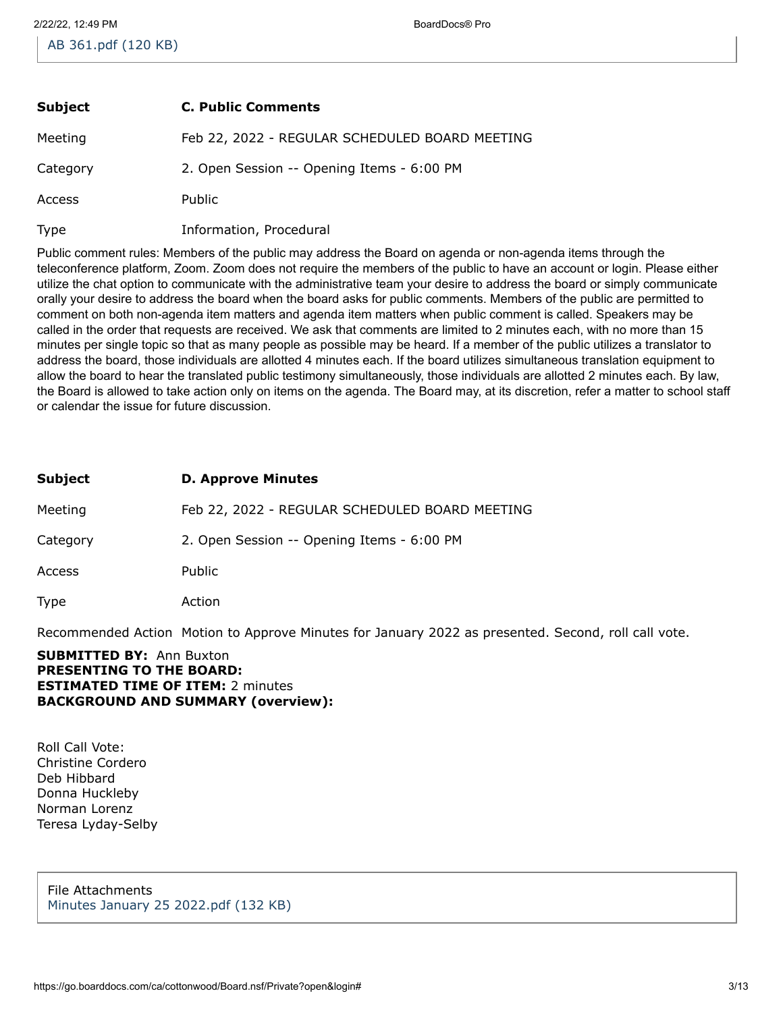| <b>Subject</b> | <b>C. Public Comments</b>                      |
|----------------|------------------------------------------------|
| Meeting        | Feb 22, 2022 - REGULAR SCHEDULED BOARD MEETING |
| Category       | 2. Open Session -- Opening Items - 6:00 PM     |
| Access         | <b>Public</b>                                  |
| <b>Type</b>    | Information, Procedural                        |

Public comment rules: Members of the public may address the Board on agenda or non-agenda items through the teleconference platform, Zoom. Zoom does not require the members of the public to have an account or login. Please either utilize the chat option to communicate with the administrative team your desire to address the board or simply communicate orally your desire to address the board when the board asks for public comments. Members of the public are permitted to comment on both non-agenda item matters and agenda item matters when public comment is called. Speakers may be called in the order that requests are received. We ask that comments are limited to 2 minutes each, with no more than 15 minutes per single topic so that as many people as possible may be heard. If a member of the public utilizes a translator to address the board, those individuals are allotted 4 minutes each. If the board utilizes simultaneous translation equipment to allow the board to hear the translated public testimony simultaneously, those individuals are allotted 2 minutes each. By law, the Board is allowed to take action only on items on the agenda. The Board may, at its discretion, refer a matter to school staff or calendar the issue for future discussion.

| Subject  | <b>D. Approve Minutes</b>                      |
|----------|------------------------------------------------|
| Meeting  | Feb 22, 2022 - REGULAR SCHEDULED BOARD MEETING |
| Category | 2. Open Session -- Opening Items - 6:00 PM     |
| Access   | Public                                         |
| Type     | Action                                         |

Recommended Action Motion to Approve Minutes for January 2022 as presented. Second, roll call vote.

#### **SUBMITTED BY:** Ann Buxton **PRESENTING TO THE BOARD: ESTIMATED TIME OF ITEM:** 2 minutes **BACKGROUND AND SUMMARY (overview):**

Roll Call Vote: Christine Cordero Deb Hibbard Donna Huckleby Norman Lorenz Teresa Lyday-Selby

File Attachments [Minutes January 25 2022.pdf \(132 KB\)](https://go.boarddocs.com/ca/cottonwood/Board.nsf/files/CBBVJY810ACE/$file/Minutes%20January%2025%202022.pdf)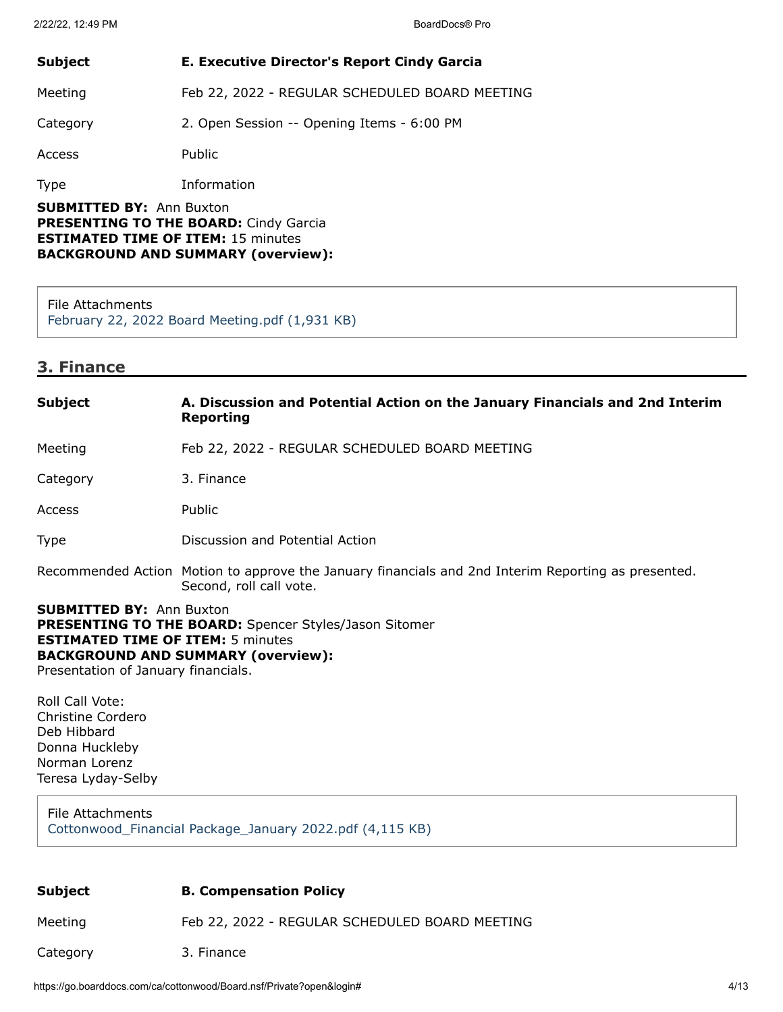| <b>Subject</b>                                                                               | E. Executive Director's Report Cindy Garcia    |
|----------------------------------------------------------------------------------------------|------------------------------------------------|
| Meeting                                                                                      | Feb 22, 2022 - REGULAR SCHEDULED BOARD MEETING |
| Category                                                                                     | 2. Open Session -- Opening Items - 6:00 PM     |
| Access                                                                                       | Public                                         |
| <b>Type</b>                                                                                  | Information                                    |
| <b>SUBMITTED BY: Ann Buxton</b><br><b>DDECENTIME TO THE DOADD.</b> $C_{total}$ , $C_{total}$ |                                                |

**PRESENTING TO THE BOARD:** Cindy Garcia **ESTIMATED TIME OF ITEM:** 15 minutes **BACKGROUND AND SUMMARY (overview):**

File Attachments [February 22, 2022 Board Meeting.pdf \(1,931 KB\)](https://go.boarddocs.com/ca/cottonwood/Board.nsf/files/CBRNUA6160AA/$file/February%2022%2C%202022%20Board%20Meeting.pdf)

## **3. Finance**

| <b>Subject</b>                                                                                                                                                                                                                  | A. Discussion and Potential Action on the January Financials and 2nd Interim<br>Reporting                                      |
|---------------------------------------------------------------------------------------------------------------------------------------------------------------------------------------------------------------------------------|--------------------------------------------------------------------------------------------------------------------------------|
| Meeting                                                                                                                                                                                                                         | Feb 22, 2022 - REGULAR SCHEDULED BOARD MEETING                                                                                 |
| Category                                                                                                                                                                                                                        | 3. Finance                                                                                                                     |
| <b>Access</b>                                                                                                                                                                                                                   | Public                                                                                                                         |
| <b>Type</b>                                                                                                                                                                                                                     | Discussion and Potential Action                                                                                                |
|                                                                                                                                                                                                                                 | Recommended Action Motion to approve the January financials and 2nd Interim Reporting as presented.<br>Second, roll call vote. |
| <b>SUBMITTED BY: Ann Buxton</b><br><b>PRESENTING TO THE BOARD:</b> Spencer Styles/Jason Sitomer<br><b>ESTIMATED TIME OF ITEM: 5 minutes</b><br><b>BACKGROUND AND SUMMARY (overview):</b><br>Presentation of January financials. |                                                                                                                                |
| Roll Call Vote:                                                                                                                                                                                                                 |                                                                                                                                |

Christine Cordero Deb Hibbard Donna Huckleby Norman Lorenz Teresa Lyday-Selby

#### File Attachments [Cottonwood\\_Financial Package\\_January 2022.pdf \(4,115 KB\)](https://go.boarddocs.com/ca/cottonwood/Board.nsf/files/CBR2PS032F75/$file/Cottonwood_Financial%20Package_January%202022.pdf)

| Subject | <b>B. Compensation Policy</b> |  |
|---------|-------------------------------|--|
|         |                               |  |

Meeting Feb 22, 2022 - REGULAR SCHEDULED BOARD MEETING

Category 3. Finance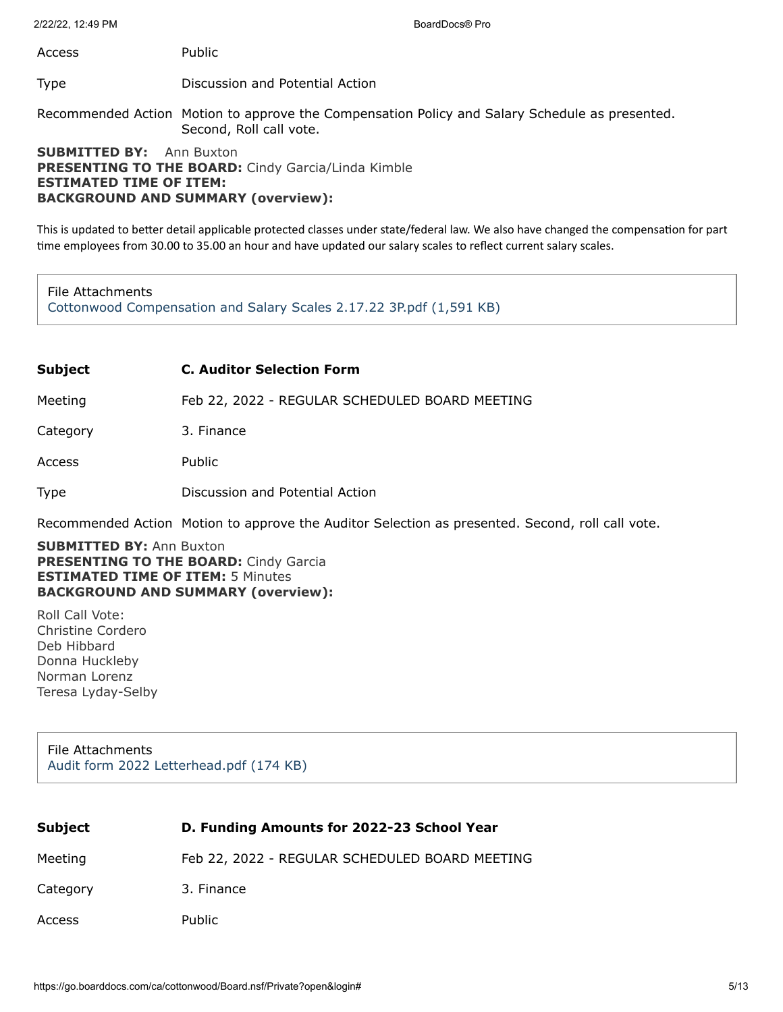Access Public

Type Discussion and Potential Action

Recommended Action Motion to approve the Compensation Policy and Salary Schedule as presented. Second, Roll call vote.

#### **SUBMITTED BY:** Ann Buxton **PRESENTING TO THE BOARD:** Cindy Garcia/Linda Kimble **ESTIMATED TIME OF ITEM: BACKGROUND AND SUMMARY (overview):**

This is updated to better detail applicable protected classes under state/federal law. We also have changed the compensation for part time employees from 30.00 to 35.00 an hour and have updated our salary scales to reflect current salary scales.

#### File Attachments

[Cottonwood Compensation and Salary Scales 2.17.22 3P.pdf \(1,591 KB\)](https://go.boarddocs.com/ca/cottonwood/Board.nsf/files/CBVSBJ71E325/$file/Cottonwood%20Compensation%20and%20Salary%20Scales%202.17.22%203P.pdf)

#### **Subject C. Auditor Selection Form**

Meeting Feb 22, 2022 - REGULAR SCHEDULED BOARD MEETING

Category 3. Finance

Access Public

Type Discussion and Potential Action

Recommended Action Motion to approve the Auditor Selection as presented. Second, roll call vote.

#### **SUBMITTED BY:** Ann Buxton **PRESENTING TO THE BOARD:** Cindy Garcia **ESTIMATED TIME OF ITEM:** 5 Minutes **BACKGROUND AND SUMMARY (overview):**

Roll Call Vote: Christine Cordero Deb Hibbard Donna Huckleby Norman Lorenz Teresa Lyday-Selby

File Attachments [Audit form 2022 Letterhead.pdf \(174 KB\)](https://go.boarddocs.com/ca/cottonwood/Board.nsf/files/CBNP4D5EF7A8/$file/Audit%20form%202022%20Letterhead.pdf)

| <b>Subject</b> | D. Funding Amounts for 2022-23 School Year     |
|----------------|------------------------------------------------|
| Meeting        | Feb 22, 2022 - REGULAR SCHEDULED BOARD MEETING |
| Category       | 3. Finance                                     |
| Access         | Public                                         |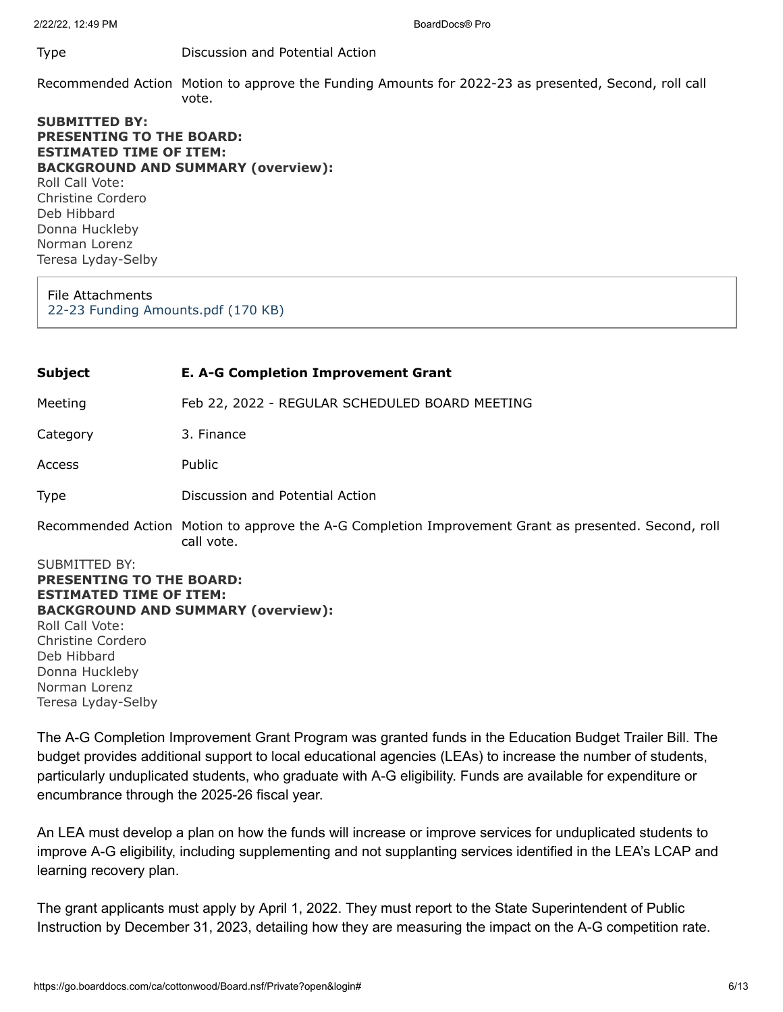2/22/22, 12:49 PM BoardDocs® Pro

#### Type Discussion and Potential Action

Recommended Action Motion to approve the Funding Amounts for 2022-23 as presented, Second, roll call vote.

**SUBMITTED BY: PRESENTING TO THE BOARD: ESTIMATED TIME OF ITEM: BACKGROUND AND SUMMARY (overview):** Roll Call Vote: Christine Cordero Deb Hibbard Donna Huckleby Norman Lorenz Teresa Lyday-Selby

File Attachments [22-23 Funding Amounts.pdf \(170 KB\)](https://go.boarddocs.com/ca/cottonwood/Board.nsf/files/CBGSZC750263/$file/22-23%20Funding%20Amounts.pdf)

SUBMITTED BY: **PRESENTING TO THE BOARD: ESTIMATED TIME OF ITEM: BACKGROUND AND SUMMARY (overview):** Roll Call Vote: Christine Cordero Deb Hibbard Donna Huckleby Norman Lorenz Teresa Lyday-Selby **Subject E. A-G Completion Improvement Grant** Meeting Feb 22, 2022 - REGULAR SCHEDULED BOARD MEETING Category 3. Finance Access Public Type Discussion and Potential Action Recommended Action Motion to approve the A-G Completion Improvement Grant as presented. Second, roll call vote.

The A-G Completion Improvement Grant Program was granted funds in the Education Budget Trailer Bill. The budget provides additional support to local educational agencies (LEAs) to increase the number of students, particularly unduplicated students, who graduate with A-G eligibility. Funds are available for expenditure or encumbrance through the 2025-26 fiscal year.

An LEA must develop a plan on how the funds will increase or improve services for unduplicated students to improve A-G eligibility, including supplementing and not supplanting services identified in the LEA's LCAP and learning recovery plan.

The grant applicants must apply by April 1, 2022. They must report to the State Superintendent of Public Instruction by December 31, 2023, detailing how they are measuring the impact on the A-G competition rate.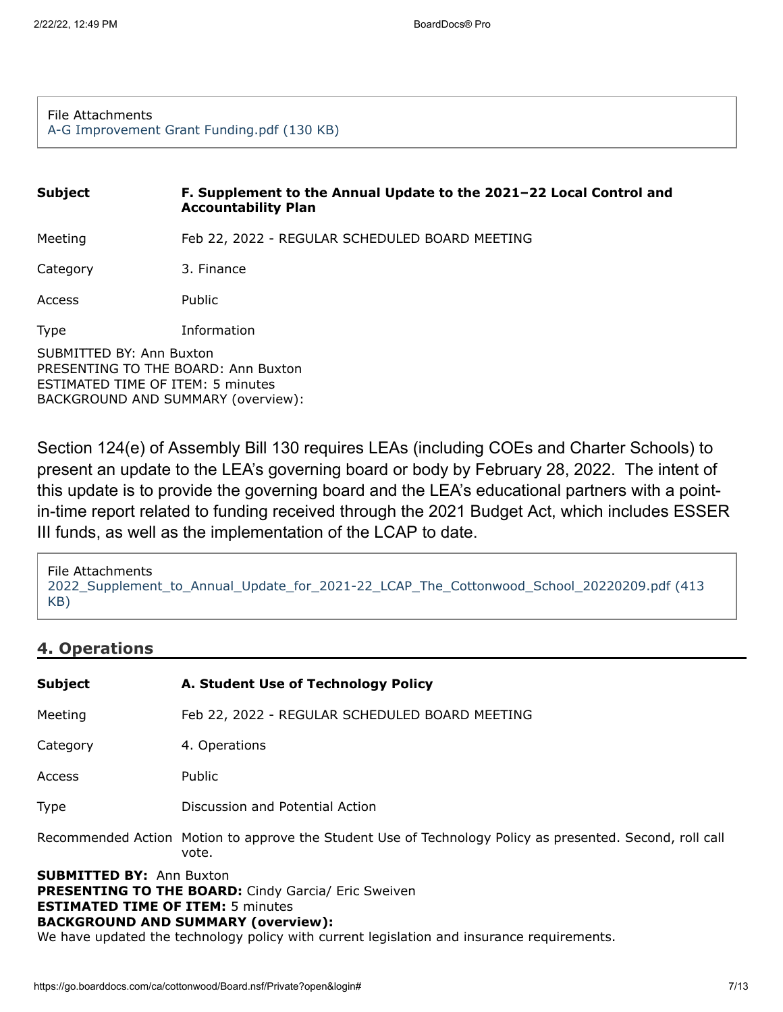#### File Attachments [A-G Improvement Grant Funding.pdf \(130 KB\)](https://go.boarddocs.com/ca/cottonwood/Board.nsf/files/CBNQ8D67B7EE/$file/A-G%20Improvement%20Grant%20Funding.pdf)

# SUBMITTED BY: Ann Buxton PRESENTING TO THE BOARD: Ann Buxton ESTIMATED TIME OF ITEM: 5 minutes BACKGROUND AND SUMMARY (overview): **Subject F. Supplement to the Annual Update to the 2021–22 Local Control and Accountability Plan** Meeting Feb 22, 2022 - REGULAR SCHEDULED BOARD MEETING Category 3. Finance Access Public Type Information

Section 124(e) of Assembly Bill 130 requires LEAs (including COEs and Charter Schools) to present an update to the LEA's governing board or body by February 28, 2022. The intent of this update is to provide the governing board and the LEA's educational partners with a pointin-time report related to funding received through the 2021 Budget Act, which includes ESSER III funds, as well as the implementation of the LCAP to date.

```
File Attachments
2022_Supplement_to_Annual_Update_for_2021-22_LCAP_The_Cottonwood_School_20220209.pdf (413
KB)
```
## **4. Operations**

| <b>Subject</b>                                                                                                                                                                                                                                                                       | A. Student Use of Technology Policy                                                                                |
|--------------------------------------------------------------------------------------------------------------------------------------------------------------------------------------------------------------------------------------------------------------------------------------|--------------------------------------------------------------------------------------------------------------------|
| Meeting                                                                                                                                                                                                                                                                              | Feb 22, 2022 - REGULAR SCHEDULED BOARD MEETING                                                                     |
| Category                                                                                                                                                                                                                                                                             | 4. Operations                                                                                                      |
| Access                                                                                                                                                                                                                                                                               | Public                                                                                                             |
| <b>Type</b>                                                                                                                                                                                                                                                                          | Discussion and Potential Action                                                                                    |
|                                                                                                                                                                                                                                                                                      | Recommended Action Motion to approve the Student Use of Technology Policy as presented. Second, roll call<br>vote. |
| <b>SUBMITTED BY: Ann Buxton</b><br><b>PRESENTING TO THE BOARD:</b> Cindy Garcia/ Eric Sweiven<br><b>ESTIMATED TIME OF ITEM: 5 minutes</b><br><b>BACKGROUND AND SUMMARY (overview):</b><br>We have updated the technology policy with current legislation and insurance requirements. |                                                                                                                    |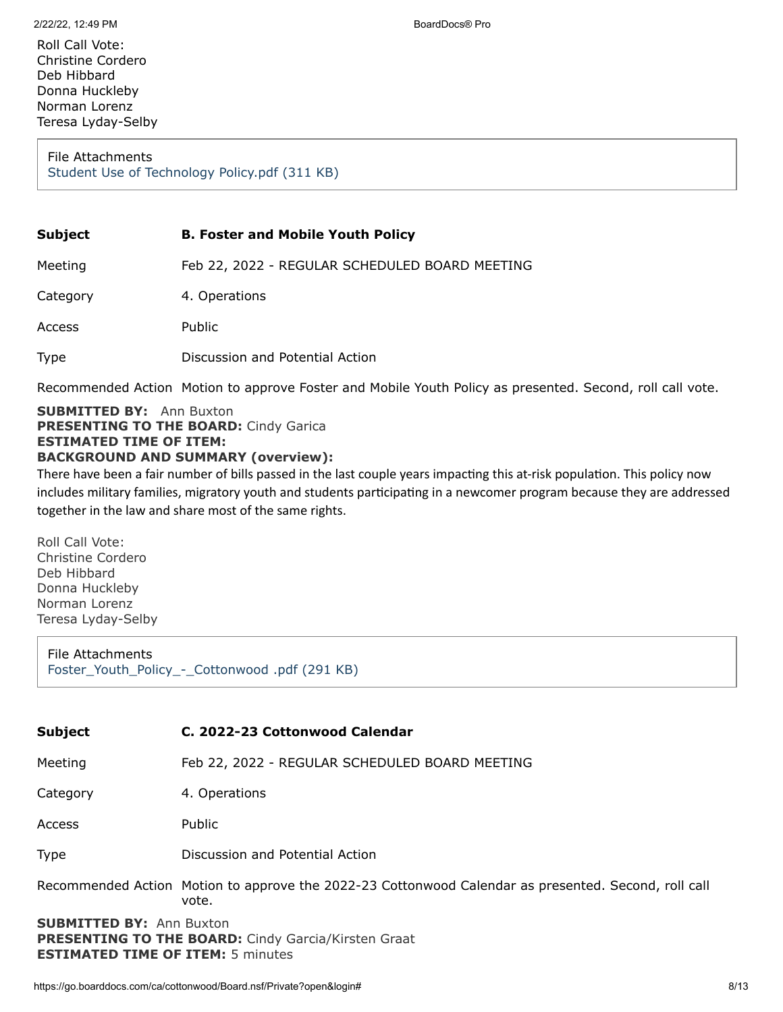Roll Call Vote: Christine Cordero Deb Hibbard Donna Huckleby Norman Lorenz Teresa Lyday-Selby

File Attachments [Student Use of Technology Policy.pdf \(311 KB\)](https://go.boarddocs.com/ca/cottonwood/Board.nsf/files/CBNSF2714640/$file/Student%20Use%20of%20Technology%20Policy.pdf)

#### **Subject B. Foster and Mobile Youth Policy**

Meeting Feb 22, 2022 - REGULAR SCHEDULED BOARD MEETING Category 4. Operations Access Public Type Discussion and Potential Action

Recommended Action Motion to approve Foster and Mobile Youth Policy as presented. Second, roll call vote.

#### **SUBMITTED BY:** Ann Buxton **PRESENTING TO THE BOARD:** Cindy Garica **ESTIMATED TIME OF ITEM: BACKGROUND AND SUMMARY (overview):**

There have been a fair number of bills passed in the last couple years impacting this at-risk population. This policy now includes military families, migratory youth and students participating in a newcomer program because they are addressed together in the law and share most of the same rights.

Roll Call Vote: Christine Cordero Deb Hibbard Donna Huckleby Norman Lorenz Teresa Lyday-Selby

File Attachments [Foster\\_Youth\\_Policy\\_-\\_Cottonwood .pdf \(291 KB\)](https://go.boarddocs.com/ca/cottonwood/Board.nsf/files/CBNSEV7132D9/$file/Foster_Youth_Policy_-_Cottonwood%20.pdf)

#### **Subject C. 2022-23 Cottonwood Calendar**

Meeting Feb 22, 2022 - REGULAR SCHEDULED BOARD MEETING

Category 4. Operations

Access Public

#### Type Discussion and Potential Action

Recommended Action Motion to approve the 2022-23 Cottonwood Calendar as presented. Second, roll call vote.

**SUBMITTED BY:** Ann Buxton **PRESENTING TO THE BOARD:** Cindy Garcia/Kirsten Graat **ESTIMATED TIME OF ITEM:** 5 minutes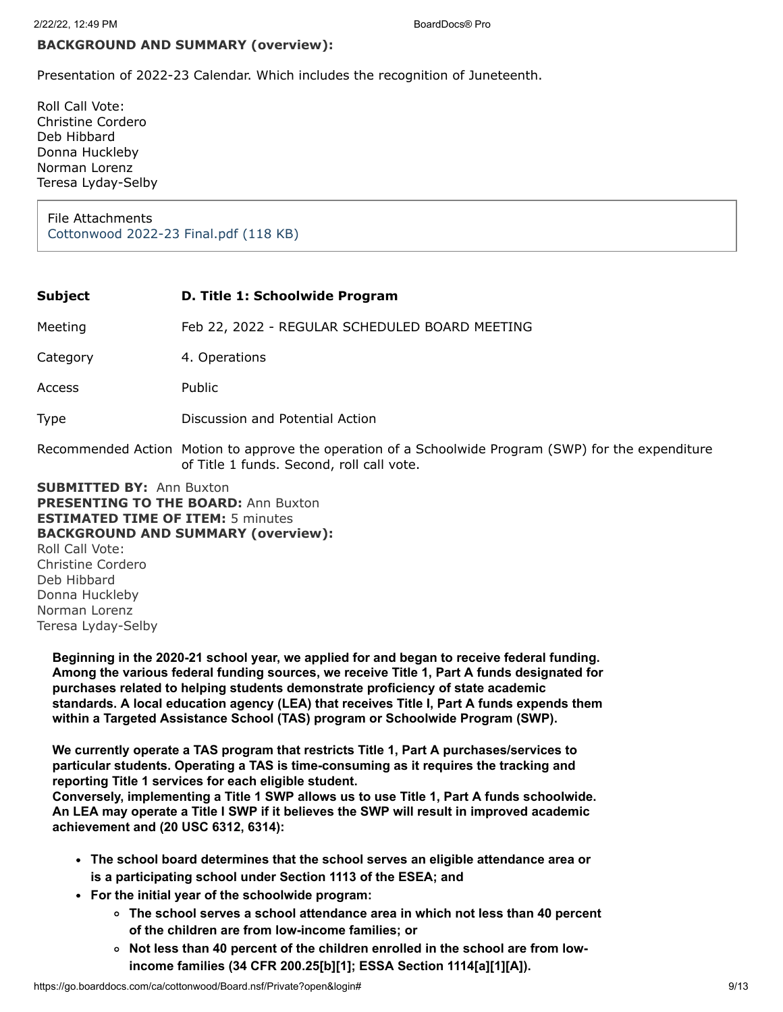#### **BACKGROUND AND SUMMARY (overview):**

Presentation of 2022-23 Calendar. Which includes the recognition of Juneteenth.

Roll Call Vote: Christine Cordero Deb Hibbard Donna Huckleby Norman Lorenz Teresa Lyday-Selby

File Attachments [Cottonwood 2022-23 Final.pdf \(118 KB\)](https://go.boarddocs.com/ca/cottonwood/Board.nsf/files/CBGUXW7D5887/$file/Cottonwood%202022-23%20Final.pdf)

| Subject  | D. Title 1: Schoolwide Program                                                                                                                    |
|----------|---------------------------------------------------------------------------------------------------------------------------------------------------|
| Meeting  | Feb 22, 2022 - REGULAR SCHEDULED BOARD MEETING                                                                                                    |
| Category | 4. Operations                                                                                                                                     |
| Access   | Public                                                                                                                                            |
| Type     | Discussion and Potential Action                                                                                                                   |
|          | Recommended Action Motion to approve the operation of a Schoolwide Program (SWP) for the expenditure<br>of Title 1 funds. Second, roll call vote. |

**SUBMITTED BY:** Ann Buxton **PRESENTING TO THE BOARD:** Ann Buxton **ESTIMATED TIME OF ITEM:** 5 minutes **BACKGROUND AND SUMMARY (overview):** Roll Call Vote: Christine Cordero Deb Hibbard Donna Huckleby Norman Lorenz Teresa Lyday-Selby

**Beginning in the 2020-21 school year, we applied for and began to receive federal funding. Among the various federal funding sources, we receive Title 1, Part A funds designated for purchases related to helping students demonstrate proficiency of state academic standards. A local education agency (LEA) that receives Title I, Part A funds expends them within a Targeted Assistance School (TAS) program or Schoolwide Program (SWP).**

**We currently operate a TAS program that restricts Title 1, Part A purchases/services to particular students. Operating a TAS is time-consuming as it requires the tracking and reporting Title 1 services for each eligible student.**

**Conversely, implementing a Title 1 SWP allows us to use Title 1, Part A funds schoolwide. An LEA may operate a Title I SWP if it believes the SWP will result in improved academic achievement and (20 USC 6312, 6314):**

- **The school board determines that the school serves an eligible attendance area or is a participating school under Section 1113 of the ESEA; and**
- **For the initial year of the schoolwide program:**
	- **The school serves a school attendance area in which not less than 40 percent of the children are from low-income families; or**
	- **Not less than 40 percent of the children enrolled in the school are from lowincome families (34 CFR 200.25[b][1]; ESSA Section 1114[a][1][A]).**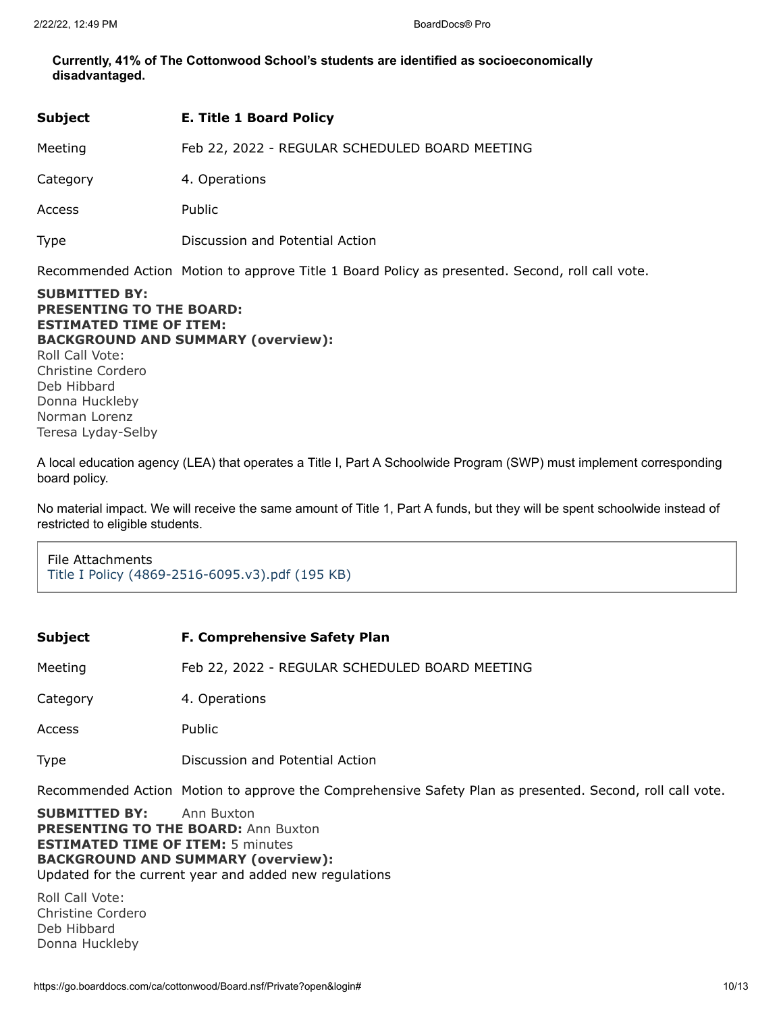**Currently, 41% of The Cottonwood School's students are identified as socioeconomically disadvantaged.**

| <b>Subject</b> | <b>E. Title 1 Board Policy</b>                 |
|----------------|------------------------------------------------|
| Meeting        | Feb 22, 2022 - REGULAR SCHEDULED BOARD MEETING |
| Category       | 4. Operations                                  |
| Access         | Public                                         |
| <b>Type</b>    | Discussion and Potential Action                |

Recommended Action Motion to approve Title 1 Board Policy as presented. Second, roll call vote.

**SUBMITTED BY: PRESENTING TO THE BOARD: ESTIMATED TIME OF ITEM: BACKGROUND AND SUMMARY (overview):** Roll Call Vote: Christine Cordero Deb Hibbard Donna Huckleby Norman Lorenz Teresa Lyday-Selby

A local education agency (LEA) that operates a Title I, Part A Schoolwide Program (SWP) must implement corresponding board policy.

No material impact. We will receive the same amount of Title 1, Part A funds, but they will be spent schoolwide instead of restricted to eligible students.

File Attachments [Title I Policy \(4869-2516-6095.v3\).pdf \(195 KB\)](https://go.boarddocs.com/ca/cottonwood/Board.nsf/files/CBQS3P708472/$file/Title%20I%20Policy%20(4869-2516-6095.v3).pdf)

| Subject | <b>F. Comprehensive Safety Plan</b> |
|---------|-------------------------------------|
|---------|-------------------------------------|

Meeting Feb 22, 2022 - REGULAR SCHEDULED BOARD MEETING

Category 4. Operations

Access Public

Type Discussion and Potential Action

Recommended Action Motion to approve the Comprehensive Safety Plan as presented. Second, roll call vote.

**SUBMITTED BY:** Ann Buxton **PRESENTING TO THE BOARD: Ann Buxton ESTIMATED TIME OF ITEM:** 5 minutes **BACKGROUND AND SUMMARY (overview):** Updated for the current year and added new regulations

Roll Call Vote: Christine Cordero Deb Hibbard Donna Huckleby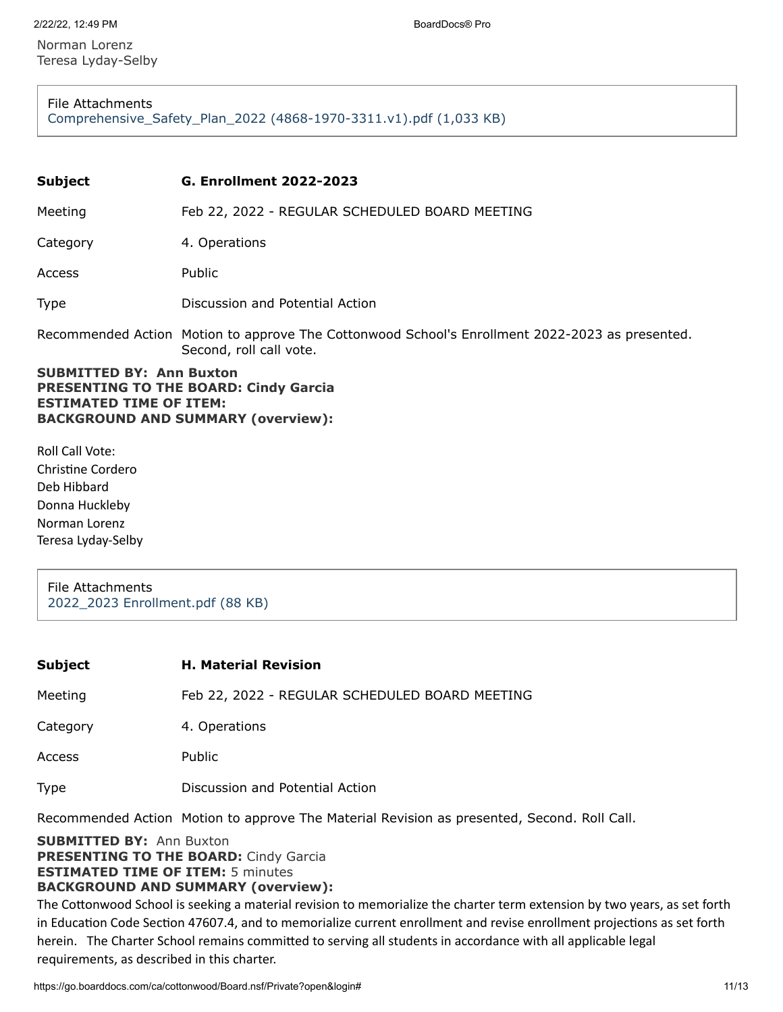Norman Lorenz Teresa Lyday-Selby

File Attachments [Comprehensive\\_Safety\\_Plan\\_2022 \(4868-1970-3311.v1\).pdf \(1,033 KB\)](https://go.boarddocs.com/ca/cottonwood/Board.nsf/files/CBQVNT819A97/$file/Comprehensive_Safety_Plan_2022%20(4868-1970-3311.v1).pdf)

| <b>Subject</b>                                                                                                                                                 | <b>G. Enrollment 2022-2023</b>                                                                                             |
|----------------------------------------------------------------------------------------------------------------------------------------------------------------|----------------------------------------------------------------------------------------------------------------------------|
| Meeting                                                                                                                                                        | Feb 22, 2022 - REGULAR SCHEDULED BOARD MEETING                                                                             |
| Category                                                                                                                                                       | 4. Operations                                                                                                              |
| Access                                                                                                                                                         | Public                                                                                                                     |
| <b>Type</b>                                                                                                                                                    | Discussion and Potential Action                                                                                            |
|                                                                                                                                                                | Recommended Action Motion to approve The Cottonwood School's Enrollment 2022-2023 as presented.<br>Second, roll call vote. |
| <b>SUBMITTED BY: Ann Buxton</b><br><b>PRESENTING TO THE BOARD: Cindy Garcia</b><br><b>ESTIMATED TIME OF ITEM:</b><br><b>BACKGROUND AND SUMMARY (overview):</b> |                                                                                                                            |

Roll Call Vote: Christine Cordero Deb Hibbard Donna Huckleby Norman Lorenz Teresa Lyday-Selby

File Attachments [2022\\_2023 Enrollment.pdf \(88 KB\)](https://go.boarddocs.com/ca/cottonwood/Board.nsf/files/CBSVQK81DC6E/$file/2022_2023%20Enrollment.pdf)

| <b>Subject</b> | <b>H. Material Revision</b>                    |
|----------------|------------------------------------------------|
| Meeting        | Feb 22, 2022 - REGULAR SCHEDULED BOARD MEETING |
| Category       | 4. Operations                                  |
| <b>Access</b>  | Public                                         |
| Type           | Discussion and Potential Action                |
|                |                                                |

Recommended Action Motion to approve The Material Revision as presented, Second. Roll Call.

**SUBMITTED BY:** Ann Buxton **PRESENTING TO THE BOARD:** Cindy Garcia **ESTIMATED TIME OF ITEM:** 5 minutes **BACKGROUND AND SUMMARY (overview):**

The Cottonwood School is seeking a material revision to memorialize the charter term extension by two years, as set forth in Education Code Section 47607.4, and to memorialize current enrollment and revise enrollment projections as set forth herein. The Charter School remains committed to serving all students in accordance with all applicable legal requirements, as described in this charter.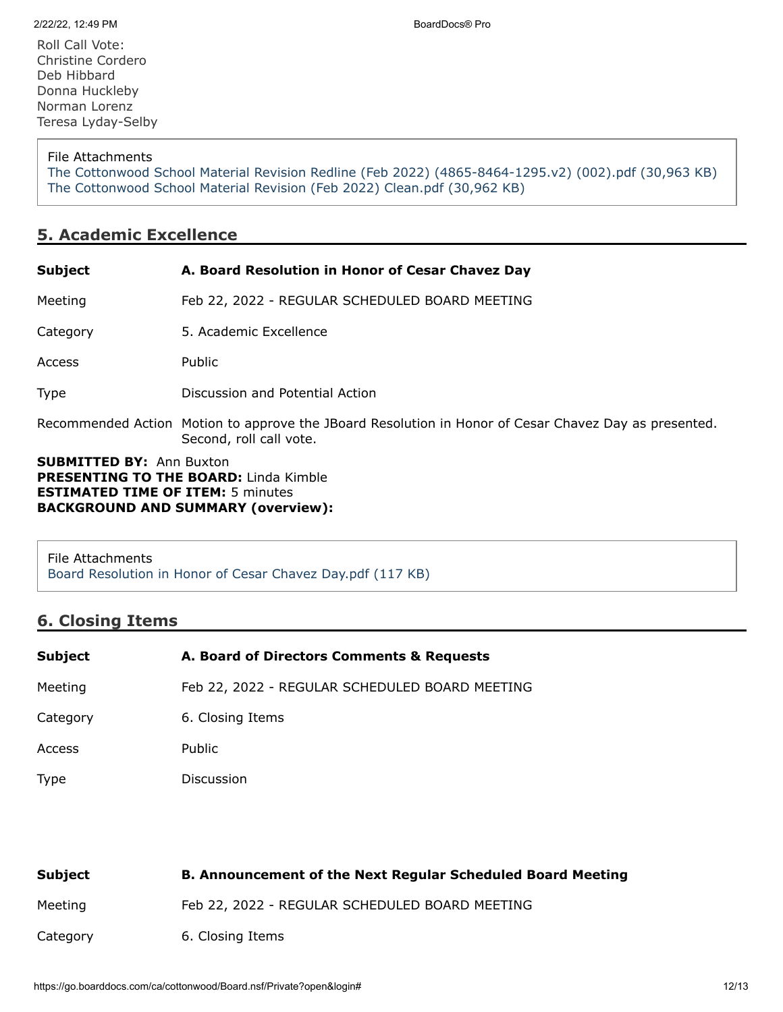File Attachments

[The Cottonwood School Material Revision Redline \(Feb 2022\) \(4865-8464-1295.v2\) \(002\).pdf \(30,963 KB\)](https://go.boarddocs.com/ca/cottonwood/Board.nsf/files/CBQV787F48B7/$file/The%20Cottonwood%20School%20Material%20Revision%20Redline%20(Feb%202022)%20(4865-8464-1295.v2)%20(002).pdf) [The Cottonwood School Material Revision \(Feb 2022\) Clean.pdf \(30,962 KB\)](https://go.boarddocs.com/ca/cottonwood/Board.nsf/files/CBQVAR7FCBCC/$file/The%20Cottonwood%20School%20Material%20Revision%20(Feb%202022)%20Clean.pdf)

# **5. Academic Excellence**

| <b>Subject</b>                                                                                                              | A. Board Resolution in Honor of Cesar Chavez Day                                                                                 |
|-----------------------------------------------------------------------------------------------------------------------------|----------------------------------------------------------------------------------------------------------------------------------|
| Meeting                                                                                                                     | Feb 22, 2022 - REGULAR SCHEDULED BOARD MEETING                                                                                   |
| Category                                                                                                                    | 5. Academic Excellence                                                                                                           |
| Access                                                                                                                      | <b>Public</b>                                                                                                                    |
| <b>Type</b>                                                                                                                 | Discussion and Potential Action                                                                                                  |
|                                                                                                                             | Recommended Action Motion to approve the JBoard Resolution in Honor of Cesar Chavez Day as presented.<br>Second, roll call vote. |
| <b>SUBMITTED BY: Ann Buxton</b><br><b>PRESENTING TO THE BOARD:</b> Linda Kimble<br><b>ESTIMATED TIME OF ITEM: 5 minutes</b> |                                                                                                                                  |

**BACKGROUND AND SUMMARY (overview):**

File Attachments [Board Resolution in Honor of Cesar Chavez Day.pdf \(117 KB\)](https://go.boarddocs.com/ca/cottonwood/Board.nsf/files/CBBVB97FE63E/$file/Board%20Resolution%20in%20Honor%20of%20Cesar%20Chavez%20Day.pdf)

# **6. Closing Items**

| <b>Subject</b> | A. Board of Directors Comments & Requests      |
|----------------|------------------------------------------------|
| Meeting        | Feb 22, 2022 - REGULAR SCHEDULED BOARD MEETING |
| Category       | 6. Closing Items                               |
| Access         | Public                                         |
| <b>Type</b>    | Discussion                                     |

| Subject  | <b>B. Announcement of the Next Regular Scheduled Board Meeting</b> |
|----------|--------------------------------------------------------------------|
| Meeting  | Feb 22, 2022 - REGULAR SCHEDULED BOARD MEETING                     |
| Category | 6. Closing Items                                                   |